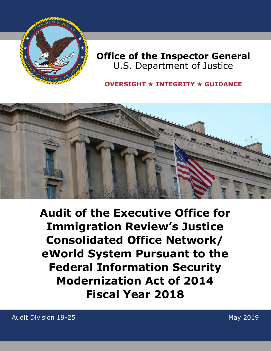

## **Office of the Inspector General** U.S. Department of Justice

### **OVERSIGHT** ★ **INTEGRITY** ★ **GUIDANCE**



**Audit of the Executive Office for Immigration Review's Justice Consolidated Office Network/ eWorld System Pursuant to the Federal Information Security Modernization Act of 2014 Fiscal Year 2018**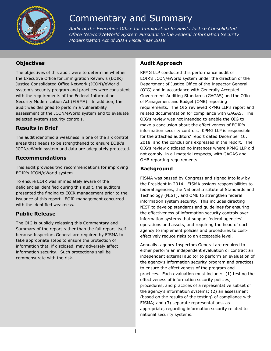

# Commentary and Summary

*Audit of the Executive Office for Immigration Review's Justice Consolidated Office Network/eWorld System Pursuant to the Federal Information Security Modernization Act of 2014 Fiscal Year 2018* 

#### **Objectives**

The objectives of this audit were to determine whether the Executive Office for Immigration Review's (EOIR) Justice Consolidated Office Network (JCON)/eWorld system's security program and practices were consistent with the requirements of the Federal Information Security Modernization Act (FISMA). In addition, the audit was designed to perform a vulnerability assessment of the JCON/eWorld system and to evaluate selected system security controls.

#### **Results in Brief**

The audit identified a weakness in one of the six control areas that needs to be strengthened to ensure EOIR's JCON/eWorld system and data are adequately protected.

#### **Recommendations**

This audit provides two recommendations for improving EOIR's JCON/eWorld system.

To ensure EOIR was immediately aware of the deficiencies identified during this audit, the auditors presented the finding to EOIR management prior to the issuance of this report. EOIR management concurred with the identified weakness.

#### **Public Release**

The OIG is publicly releasing this Commentary and Summary of the report rather than the full report itself because Inspectors General are required by FISMA to take appropriate steps to ensure the protection of information that, if disclosed, may adversely affect information security. Such protections shall be commensurate with the risk.

#### **Audit Approach**

KPMG LLP conducted this performance audit of EOIR's JCON/eWorld system under the direction of the Department of Justice Office of the Inspector General (OIG) and in accordance with Generally Accepted Government Auditing Standards (GAGAS) and the Office of Management and Budget (OMB) reporting requirements. The OIG reviewed KPMG LLP's report and related documentation for compliance with GAGAS. The OIG's review was not intended to enable the OIG to make a conclusion about the effectiveness of EOIR's information security controls. KPMG LLP is responsible for the attached auditors' report dated December 10, 2018, and the conclusions expressed in the report. The OIG's review disclosed no instances where KPMG LLP did not comply, in all material respects, with GAGAS and OMB reporting requirements.

#### **Background**

FISMA was passed by Congress and signed into law by the President in 2014. FISMA assigns responsibilities to federal agencies, the National Institute of Standards and Technology (NIST), and OMB to strengthen federal information system security. This includes directing NIST to develop standards and guidelines for ensuring the effectiveness of information security controls over information systems that support federal agencies' operations and assets, and requiring the head of each agency to implement policies and procedures to costeffectively reduce risks to an acceptable level.

Annually, agency Inspectors General are required to either perform an independent evaluation or contract an independent external auditor to perform an evaluation of the agency's information security program and practices to ensure the effectiveness of the program and practices. Each evaluation must include: (1) testing the effectiveness of information security policies, procedures, and practices of a representative subset of the agency's information systems; (2) an assessment (based on the results of the testing) of compliance with FISMA; and (3) separate representations, as appropriate, regarding information security related to national security systems.